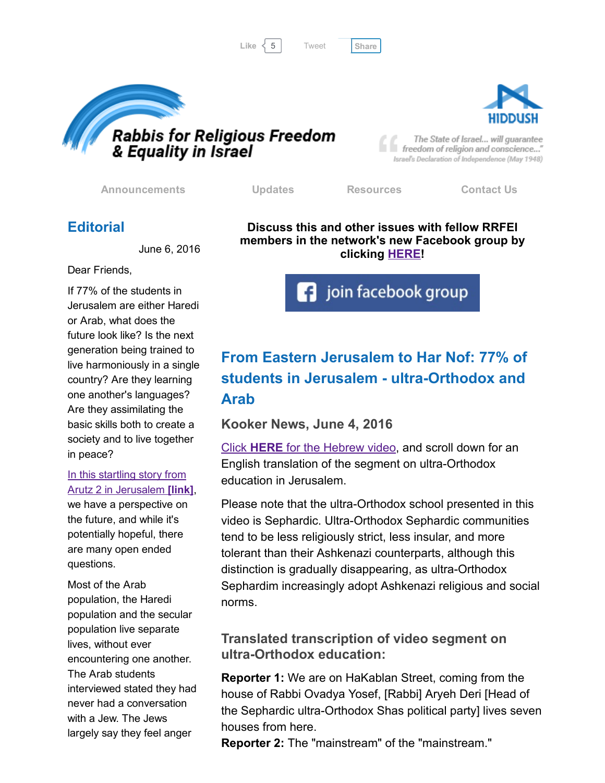



The State of Israel... will guarantee freedom of religion and conscience..." Israel's Declaration of Independence (May 1948)

[Announcements](http://rrfei.org/announcements/) [Updates](http://rrfei.org/about/rrfei-updates/) [Resources](http://rrfei.org/resources/) [Contact](http://rrfei.org/contact-us/) Us

# **Editorial**

June 6, 2016

Dear Friends,

If 77% of the students in Jerusalem are either Haredi or Arab, what does the future look like? Is the next generation being trained to live harmoniously in a single country? Are they learning one another's languages? Are they assimilating the basic skills both to create a society and to live together in peace?

#### In this startling story from Arutz 2 in [Jerusalem](http://www.kooker.co.il/%D7%91%D7%99%D7%9F-%D7%9E%D7%96%D7%A8%D7%97-%D7%99%D7%A8%D7%95%D7%A9%D7%9C%D7%99%D7%9D-%D7%9C%D7%94%D7%A8-%D7%A0%D7%95%D7%A3-77-%D7%9E%D7%94%D7%AA%D7%9C%D7%9E%D7%99%D7%93%D7%99%D7%9D-%D7%91%D7%99/) [link],

we have a perspective on the future, and while it's potentially hopeful, there are many open ended questions.

Most of the Arab population, the Haredi population and the secular population live separate lives, without ever encountering one another. The Arab students interviewed stated they had never had a conversation with a Jew. The Jews largely say they feel anger

Discuss this and other issues with fellow RRFEI members in the network's new Facebook group by clicking **[HERE!](https://www.facebook.com/groups/132239560451232/)** 

**f** join facebook group

# From Eastern Jerusalem to Har Nof: 77% of students in Jerusalem - ultra-Orthodox and Arab

Kooker News, June 4, 2016

Click HERE for the [Hebrew](http://www.kooker.co.il/%D7%91%D7%99%D7%9F-%D7%9E%D7%96%D7%A8%D7%97-%D7%99%D7%A8%D7%95%D7%A9%D7%9C%D7%99%D7%9D-%D7%9C%D7%94%D7%A8-%D7%A0%D7%95%D7%A3-77-%D7%9E%D7%94%D7%AA%D7%9C%D7%9E%D7%99%D7%93%D7%99%D7%9D-%D7%91%D7%99/) video, and scroll down for an English translation of the segment on ultra-Orthodox education in Jerusalem.

Please note that the ultra-Orthodox school presented in this video is Sephardic. Ultra-Orthodox Sephardic communities tend to be less religiously strict, less insular, and more tolerant than their Ashkenazi counterparts, although this distinction is gradually disappearing, as ultra-Orthodox Sephardim increasingly adopt Ashkenazi religious and social norms.

# Translated transcription of video segment on ultra-Orthodox education:

Reporter 1: We are on HaKablan Street, coming from the house of Rabbi Ovadya Yosef, [Rabbi] Aryeh Deri [Head of the Sephardic ultra-Orthodox Shas political party] lives seven houses from here.

Reporter 2: The "mainstream" of the "mainstream."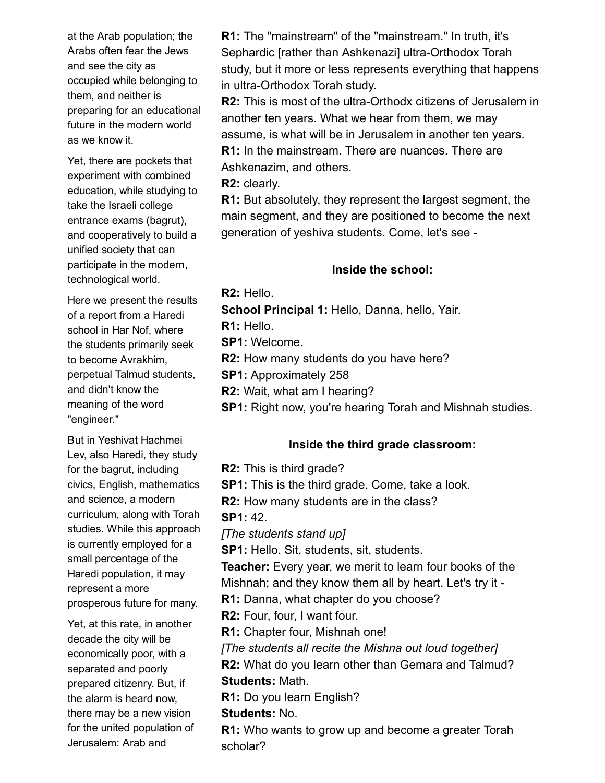at the Arab population; the Arabs often fear the Jews and see the city as occupied while belonging to them, and neither is preparing for an educational future in the modern world as we know it.

Yet, there are pockets that experiment with combined education, while studying to take the Israeli college entrance exams (bagrut), and cooperatively to build a unified society that can participate in the modern, technological world.

Here we present the results of a report from a Haredi school in Har Nof, where the students primarily seek to become Avrakhim, perpetual Talmud students, and didn't know the meaning of the word "engineer."

But in Yeshivat Hachmei Lev, also Haredi, they study for the bagrut, including civics, English, mathematics and science, a modern curriculum, along with Torah studies. While this approach is currently employed for a small percentage of the Haredi population, it may represent a more prosperous future for many.

Yet, at this rate, in another decade the city will be economically poor, with a separated and poorly prepared citizenry. But, if the alarm is heard now, there may be a new vision for the united population of Jerusalem: Arab and

R1: The "mainstream" of the "mainstream." In truth, it's Sephardic [rather than Ashkenazi] ultra-Orthodox Torah study, but it more or less represents everything that happens in ultra-Orthodox Torah study.

R2: This is most of the ultra-Orthodx citizens of Jerusalem in another ten years. What we hear from them, we may assume, is what will be in Jerusalem in another ten years. R1: In the mainstream. There are nuances. There are Ashkenazim, and others.

R2: clearly.

R1: But absolutely, they represent the largest segment, the main segment, and they are positioned to become the next generation of yeshiva students. Come, let's see

#### Inside the school:

R2: Hello.

School Principal 1: Hello, Danna, hello, Yair.

R1: Hello.

SP1: Welcome.

R2: How many students do you have here?

SP1: Approximately 258

R2: Wait, what am I hearing?

SP1: Right now, you're hearing Torah and Mishnah studies.

# Inside the third grade classroom:

R2: This is third grade?

**SP1:** This is the third grade. Come, take a look.

R2: How many students are in the class?

SP1: 42.

*[The students stand up]*

SP1: Hello. Sit, students, sit, students.

Teacher: Every year, we merit to learn four books of the Mishnah; and they know them all by heart. Let's try it -

R1: Danna, what chapter do you choose?

R2: Four, four, I want four.

R1: Chapter four, Mishnah one!

*[The students all recite the Mishna out loud together]*

R2: What do you learn other than Gemara and Talmud? Students: Math.

R1: Do you learn English?

# Students: No.

R1: Who wants to grow up and become a greater Torah scholar?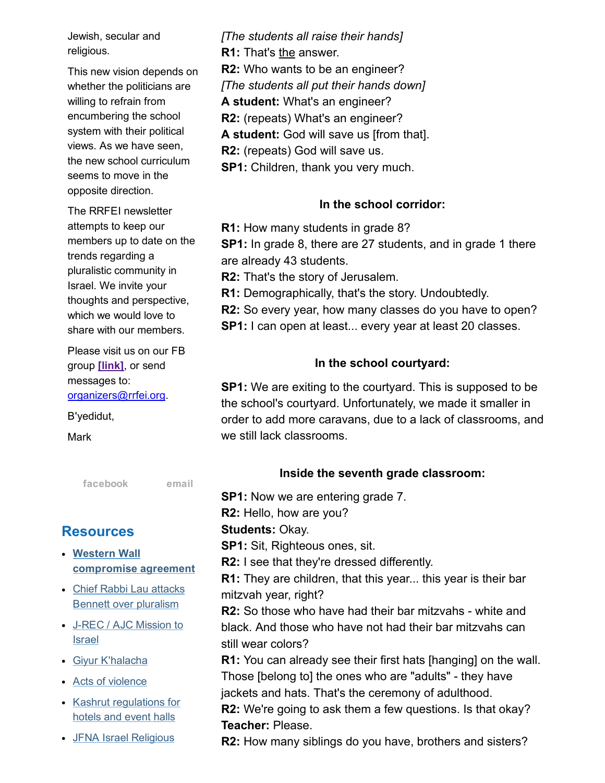Jewish, secular and religious.

This new vision depends on whether the politicians are willing to refrain from encumbering the school system with their political views. As we have seen, the new school curriculum seems to move in the opposite direction.

The RRFEI newsletter attempts to keep our members up to date on the trends regarding a pluralistic community in Israel. We invite your thoughts and perspective, which we would love to share with our members.

Please visit us on our FB group [\[link\],](https://www.facebook.com/groups/132239560451232/) or send messages to: [organizers@rrfei.org.](mailto:organizers@rrfei.org)

B'yedidut,

Mark

[facebook](https://www.facebook.com/groups/132239560451232/) [email](mailto:organizers@rrfei.org)

# **Resources**

- Western Wall [compromise](http://rrfei.org/resources/western-wall-agreement-2016/) agreement
- Chief Rabbi Lau attacks Bennett over [pluralism](http://rrfei.org/resources/chief-rabbi-lau-slams-minister-bennett-winter-2015/)
- J-REC / AJC [Mission](http://rrfei.org/resources/ajc-j-rec-mission-to-israel-winter-2015/) to **Israel**
- Giyur [K'halacha](http://rrfei.org/resources/giyur-khalacha-summer-2015/)
- Acts of [violence](http://rrfei.org/resources/acts-of-violence-summer-2015/)
- Kashrut [regulations](http://rrfei.org/resources/kashrut-regulations-for-hotels-spring-2015/) for hotels and event halls
- JFNA Israel [Religious](http://rrfei.org/resources/jfna-irep-initiative-approved-summer-2014/)

*[The students all raise their hands]* R1: That's the answer. R2: Who wants to be an engineer? *[The students all put their hands down]* A student: What's an engineer? R2: (repeats) What's an engineer? A student: God will save us [from that]. R2: (repeats) God will save us. SP1: Children, thank you very much.

#### In the school corridor:

R1: How many students in grade 8?

**SP1:** In grade 8, there are 27 students, and in grade 1 there are already 43 students.

R2: That's the story of Jerusalem.

R1: Demographically, that's the story. Undoubtedly.

- R2: So every year, how many classes do you have to open?
- SP1: I can open at least... every year at least 20 classes.

#### In the school courtyard:

SP1: We are exiting to the courtyard. This is supposed to be the school's courtyard. Unfortunately, we made it smaller in order to add more caravans, due to a lack of classrooms, and we still lack classrooms.

#### Inside the seventh grade classroom:

SP1: Now we are entering grade 7. R2: Hello, how are you? Students: Okay. SP1: Sit, Righteous ones, sit. R2: I see that they're dressed differently. R1: They are children, that this year... this year is their bar mitzvah year, right? **R2:** So those who have had their bar mitzvahs - white and black. And those who have not had their bar mitzvahs can still wear colors? R1: You can already see their first hats [hanging] on the wall. Those [belong to] the ones who are "adults" - they have jackets and hats. That's the ceremony of adulthood. R2: We're going to ask them a few questions. Is that okay? Teacher: Please.

R2: How many siblings do you have, brothers and sisters?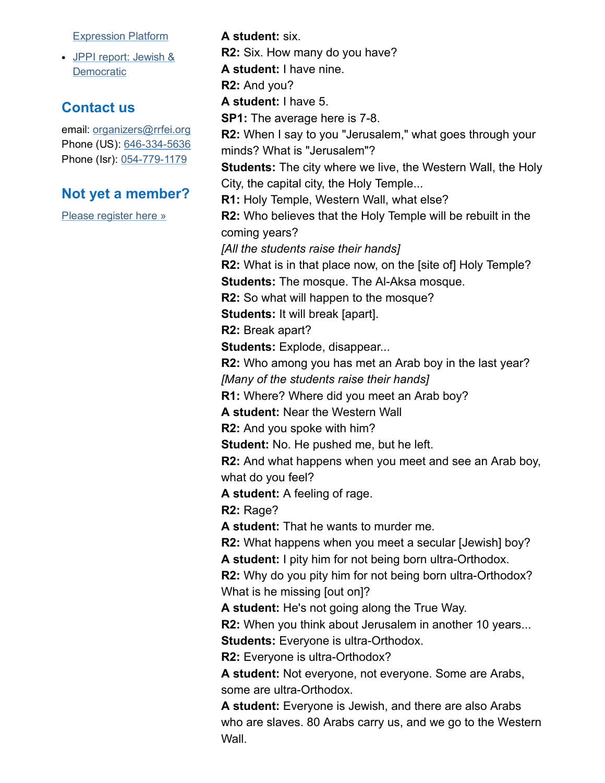[Expression](http://rrfei.org/resources/jfna-irep-initiative-approved-summer-2014/) Platform

JPPI report: Jewish & **[Democratic](http://rrfei.org/resources/jppi-jewish-and-democratic-perspectives-from-world-jewry-2014/)** 

# Contact us

email: [organizers@rrfei.org](mailto:organizers@rrfei.org) Phone (US): 646-334-5636 Phone (Isr): 054-779-1179

#### Not yet a member?

Wall.

Please [register](http://rrfei.org/about/registration/) here »

A student: six. R2: Six. How many do you have? A student: I have nine. R2: And you? A student: I have 5. **SP1:** The average here is 7-8. R2: When I say to you "Jerusalem," what goes through your minds? What is "Jerusalem"? **Students:** The city where we live, the Western Wall, the Holy City, the capital city, the Holy Temple... R1: Holy Temple, Western Wall, what else? R2: Who believes that the Holy Temple will be rebuilt in the coming years? *[All the students raise their hands]* R2: What is in that place now, on the [site of] Holy Temple? **Students:** The mosque. The Al-Aksa mosque. R2: So what will happen to the mosque? Students: It will break [apart]. R2: Break apart? Students: Explode, disappear... R2: Who among you has met an Arab boy in the last year? *[Many of the students raise their hands]* R1: Where? Where did you meet an Arab boy? A student: Near the Western Wall R2: And you spoke with him? Student: No. He pushed me, but he left. R2: And what happens when you meet and see an Arab boy, what do you feel? A student: A feeling of rage. R2: Rage? A student: That he wants to murder me. R2: What happens when you meet a secular [Jewish] boy? A student: I pity him for not being born ultra-Orthodox. R2: Why do you pity him for not being born ultra-Orthodox? What is he missing [out on]? A student: He's not going along the True Way. R2: When you think about Jerusalem in another 10 years... Students: Everyone is ultra-Orthodox. R2: Everyone is ultra-Orthodox? A student: Not everyone, not everyone. Some are Arabs, some are ultra-Orthodox. A student: Everyone is Jewish, and there are also Arabs who are slaves. 80 Arabs carry us, and we go to the Western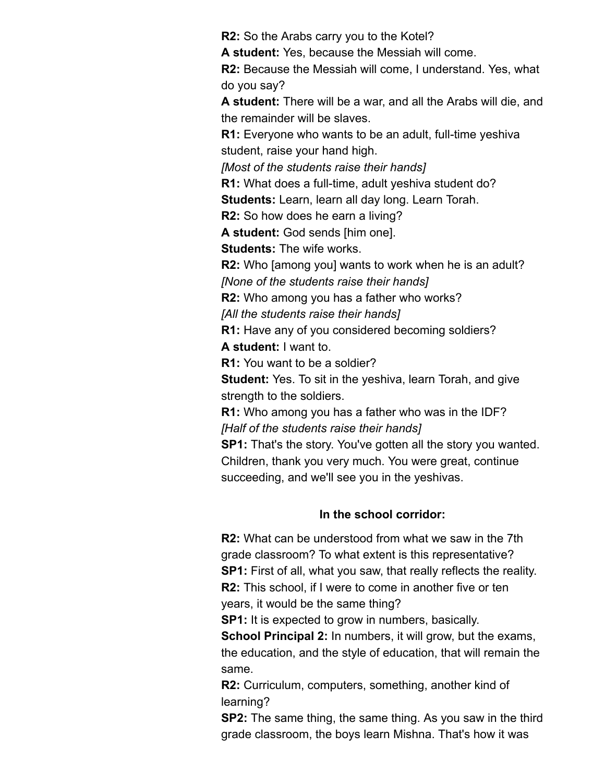R2: So the Arabs carry you to the Kotel?

A student: Yes, because the Messiah will come.

R2: Because the Messiah will come, I understand. Yes, what do you say?

A student: There will be a war, and all the Arabs will die, and the remainder will be slaves.

**R1:** Everyone who wants to be an adult, full-time yeshiva student, raise your hand high.

*[Most of the students raise their hands]*

R1: What does a full-time, adult yeshiva student do?

Students: Learn, learn all day long. Learn Torah.

R2: So how does he earn a living?

A student: God sends [him one].

Students: The wife works.

R2: Who [among you] wants to work when he is an adult? *[None of the students raise their hands]*

R2: Who among you has a father who works?

*[All the students raise their hands]*

R1: Have any of you considered becoming soldiers?

A student: I want to.

R1: You want to be a soldier?

**Student:** Yes. To sit in the yeshiva, learn Torah, and give strength to the soldiers.

R1: Who among you has a father who was in the IDF? *[Half of the students raise their hands]*

SP1: That's the story. You've gotten all the story you wanted. Children, thank you very much. You were great, continue succeeding, and we'll see you in the yeshivas.

#### In the school corridor:

R2: What can be understood from what we saw in the 7th grade classroom? To what extent is this representative? SP1: First of all, what you saw, that really reflects the reality. R2: This school, if I were to come in another five or ten years, it would be the same thing?

**SP1:** It is expected to grow in numbers, basically.

School Principal 2: In numbers, it will grow, but the exams, the education, and the style of education, that will remain the same.

R2: Curriculum, computers, something, another kind of learning?

SP2: The same thing, the same thing. As you saw in the third grade classroom, the boys learn Mishna. That's how it was